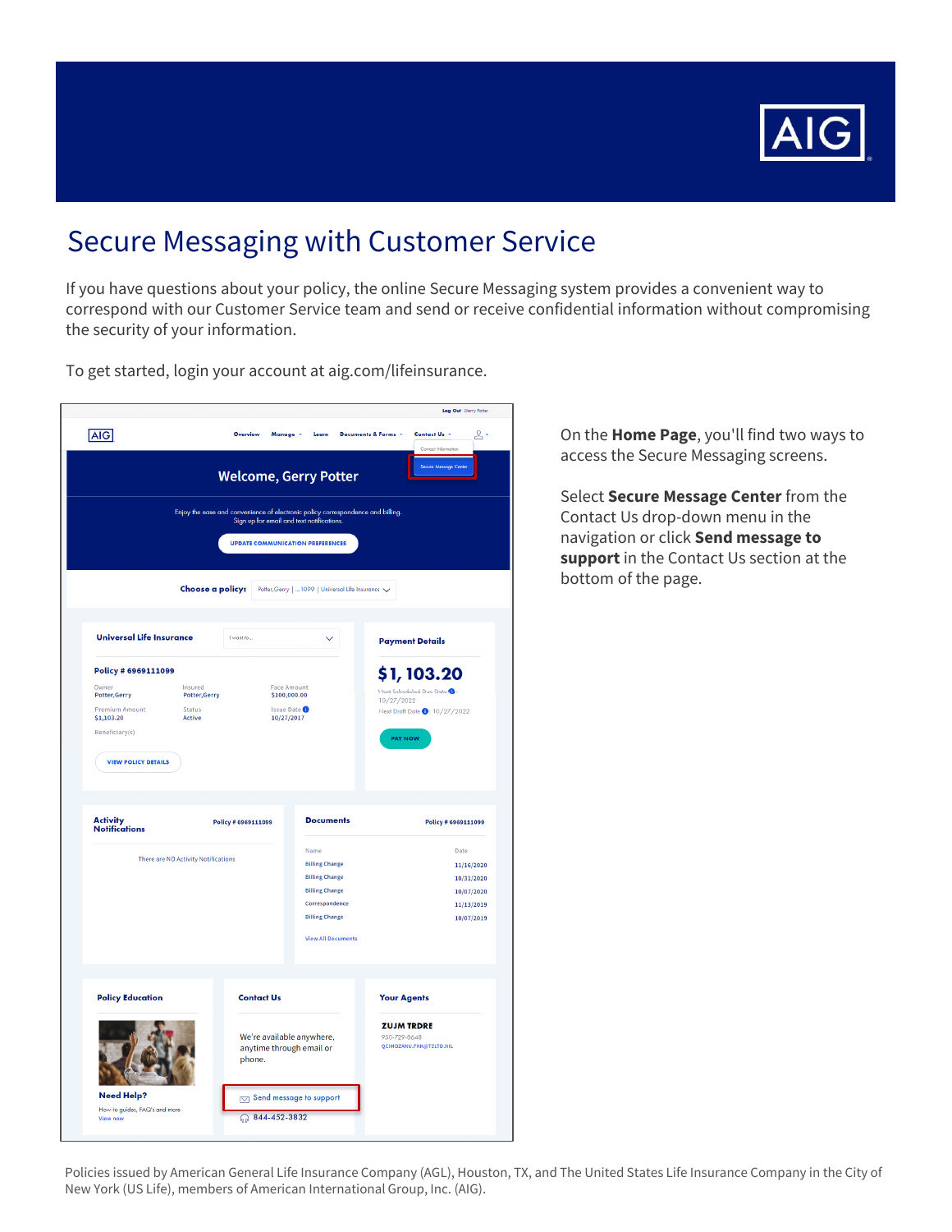

# **Secure Messaging with Customer Service**

If you have questions about your policy, the online Secure Messaging system provides a convenient way to correspond with our Customer Service team and send or receive confidential information without compromising the security of your information.

To get started, login your account at aig.com/lifeinsurance.



On the Home Page, you'll find two ways to access the Secure Messaging screens.

Select Secure Message Center from the Contact Us drop-down menu in the navigation or click Send message to support in the Contact Us section at the bottom of the page.

Policies issued by American General Life Insurance Company (AGL), Houston, TX, and The United States Life Insurance Company in the City of New York (US Life), members of American International Group, Inc. (AIG).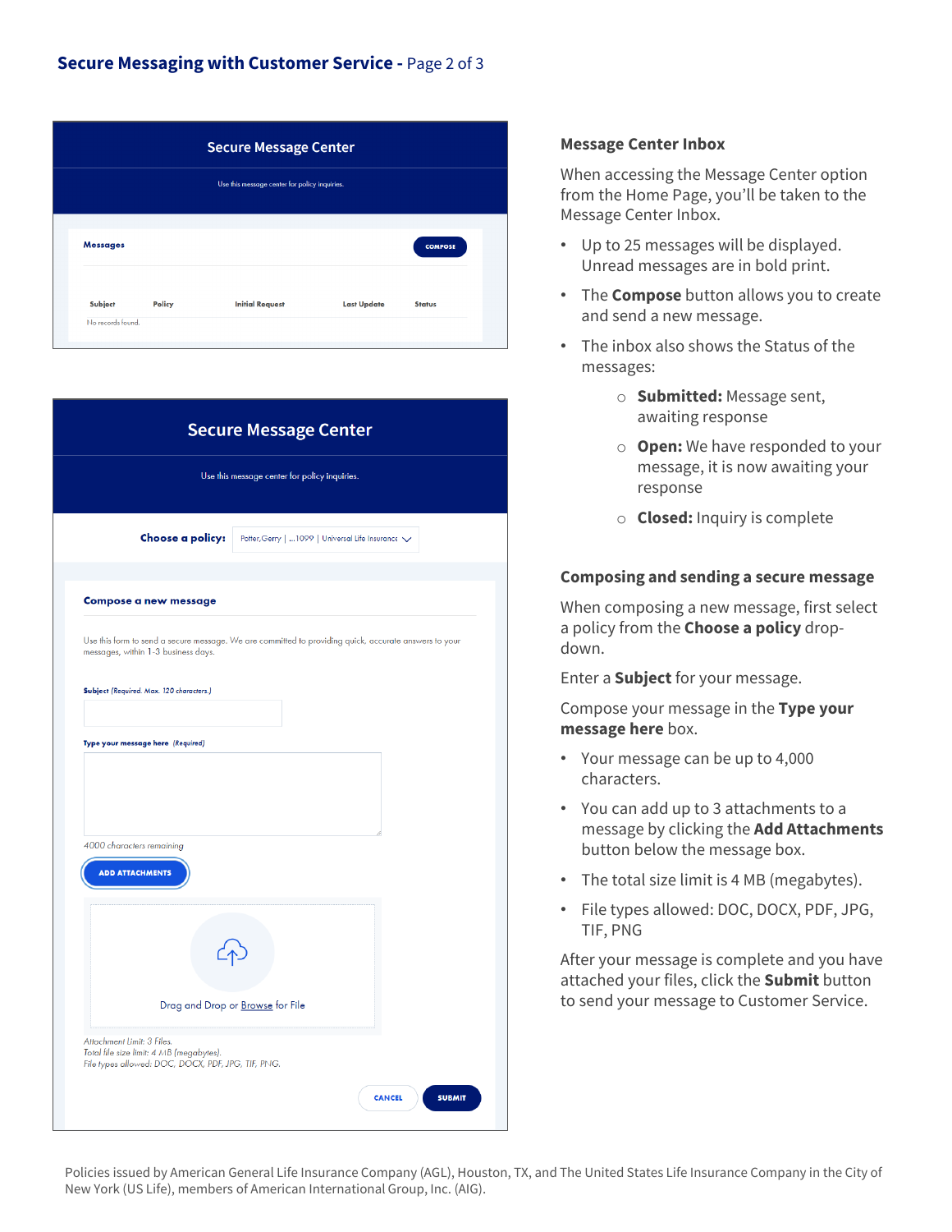| <b>Secure Message Center</b> |        |                                               |                    |                |  |  |
|------------------------------|--------|-----------------------------------------------|--------------------|----------------|--|--|
|                              |        | Use this message center for policy inquiries. |                    |                |  |  |
|                              |        |                                               |                    |                |  |  |
| <b>Messages</b>              |        |                                               |                    | <b>COMPOSE</b> |  |  |
| Subject                      | Policy | <b>Initial Request</b>                        | <b>Last Update</b> | <b>Status</b>  |  |  |
| No records found.            |        |                                               |                    |                |  |  |

| Choose a policy:<br>Potter, Gerry    1099   Universal Life Insurance V<br><b>Compose a new message</b><br>Use this form to send a secure message. We are committed to providing quick, accurate answers to your<br>messages, within 1-3 business days.<br>Subject (Required. Max. 120 characters.)<br>Type your message here (Required)<br>4000 characters remaining<br><b>ADD ATTACHMENTS</b> |  |
|------------------------------------------------------------------------------------------------------------------------------------------------------------------------------------------------------------------------------------------------------------------------------------------------------------------------------------------------------------------------------------------------|--|
|                                                                                                                                                                                                                                                                                                                                                                                                |  |
|                                                                                                                                                                                                                                                                                                                                                                                                |  |
|                                                                                                                                                                                                                                                                                                                                                                                                |  |
|                                                                                                                                                                                                                                                                                                                                                                                                |  |
|                                                                                                                                                                                                                                                                                                                                                                                                |  |
|                                                                                                                                                                                                                                                                                                                                                                                                |  |
|                                                                                                                                                                                                                                                                                                                                                                                                |  |
|                                                                                                                                                                                                                                                                                                                                                                                                |  |
|                                                                                                                                                                                                                                                                                                                                                                                                |  |
|                                                                                                                                                                                                                                                                                                                                                                                                |  |
|                                                                                                                                                                                                                                                                                                                                                                                                |  |
|                                                                                                                                                                                                                                                                                                                                                                                                |  |
|                                                                                                                                                                                                                                                                                                                                                                                                |  |
|                                                                                                                                                                                                                                                                                                                                                                                                |  |
|                                                                                                                                                                                                                                                                                                                                                                                                |  |
|                                                                                                                                                                                                                                                                                                                                                                                                |  |
|                                                                                                                                                                                                                                                                                                                                                                                                |  |
|                                                                                                                                                                                                                                                                                                                                                                                                |  |
|                                                                                                                                                                                                                                                                                                                                                                                                |  |
| Drag and Drop or Browse for File                                                                                                                                                                                                                                                                                                                                                               |  |
|                                                                                                                                                                                                                                                                                                                                                                                                |  |

## **Message Center Inbox**

 from the Home Page, you'll be taken to the When accessing the Message Center option Message Center Inbox.

- Up to 25 messages will be displayed. Unread messages are in bold print.
- The **Compose** button allows you to create and send a new message.
- • The inbox also shows the Status of the messages:
	- o **Submitted:** Message sent, awaiting response
	- message, it is now awaiting your o **Open:** We have responded to your response
	- o **Closed:** Inquiry is complete

## **Composing and sending a secure message**

When composing a new message, first select a policy from the **Choose a policy** dropdown.

Enter a **Subject** for your message.

Compose your message in the **Type your message here** box.

- • Your message can be up to 4,000 characters.
- • You can add up to 3 attachments to a message by clicking the **Add Attachments**  button below the message box.
- The total size limit is 4 MB (megabytes).
- File types allowed: DOC, DOCX, PDF, JPG, TIF, PNG

 After your message is complete and you have to send your message to Customer Service. attached your files, click the **Submit** button

 Policies issued by American General Life Insurance Company (AGL), Houston, TX, and The United States Life Insurance Company in the City of New York (US Life), members of American International Group, Inc. (AIG).